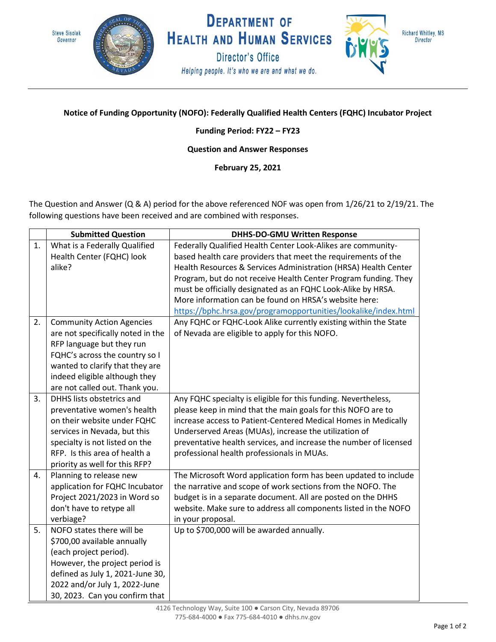



**DEPARTMENT OF HEALTH AND HUMAN SERVICES Director's Office** 

Helping people. It's who we are and what we do.



Richard Whitley, MS **Director** 

## **Notice of Funding Opportunity (NOFO): Federally Qualified Health Centers (FQHC) Incubator Project**

## **Funding Period: FY22 – FY23**

## **Question and Answer Responses**

**February 25, 2021**

The Question and Answer (Q & A) period for the above referenced NOF was open from 1/26/21 to 2/19/21. The following questions have been received and are combined with responses.

|    | <b>Submitted Question</b>         | <b>DHHS-DO-GMU Written Response</b>                               |
|----|-----------------------------------|-------------------------------------------------------------------|
| 1. | What is a Federally Qualified     | Federally Qualified Health Center Look-Alikes are community-      |
|    | Health Center (FQHC) look         | based health care providers that meet the requirements of the     |
|    | alike?                            | Health Resources & Services Administration (HRSA) Health Center   |
|    |                                   | Program, but do not receive Health Center Program funding. They   |
|    |                                   | must be officially designated as an FQHC Look-Alike by HRSA.      |
|    |                                   | More information can be found on HRSA's website here:             |
|    |                                   | https://bphc.hrsa.gov/programopportunities/lookalike/index.html   |
| 2. | <b>Community Action Agencies</b>  | Any FQHC or FQHC-Look Alike currently existing within the State   |
|    | are not specifically noted in the | of Nevada are eligible to apply for this NOFO.                    |
|    | RFP language but they run         |                                                                   |
|    | FQHC's across the country so I    |                                                                   |
|    | wanted to clarify that they are   |                                                                   |
|    | indeed eligible although they     |                                                                   |
|    | are not called out. Thank you.    |                                                                   |
| 3. | DHHS lists obstetrics and         | Any FQHC specialty is eligible for this funding. Nevertheless,    |
|    | preventative women's health       | please keep in mind that the main goals for this NOFO are to      |
|    | on their website under FQHC       | increase access to Patient-Centered Medical Homes in Medically    |
|    | services in Nevada, but this      | Underserved Areas (MUAs), increase the utilization of             |
|    | specialty is not listed on the    | preventative health services, and increase the number of licensed |
|    | RFP. Is this area of health a     | professional health professionals in MUAs.                        |
|    | priority as well for this RFP?    |                                                                   |
| 4. | Planning to release new           | The Microsoft Word application form has been updated to include   |
|    | application for FQHC Incubator    | the narrative and scope of work sections from the NOFO. The       |
|    | Project 2021/2023 in Word so      | budget is in a separate document. All are posted on the DHHS      |
|    | don't have to retype all          | website. Make sure to address all components listed in the NOFO   |
|    | verbiage?                         | in your proposal.                                                 |
| 5. | NOFO states there will be         | Up to \$700,000 will be awarded annually.                         |
|    | \$700,00 available annually       |                                                                   |
|    | (each project period).            |                                                                   |
|    | However, the project period is    |                                                                   |
|    | defined as July 1, 2021-June 30,  |                                                                   |
|    | 2022 and/or July 1, 2022-June     |                                                                   |
|    | 30, 2023. Can you confirm that    |                                                                   |